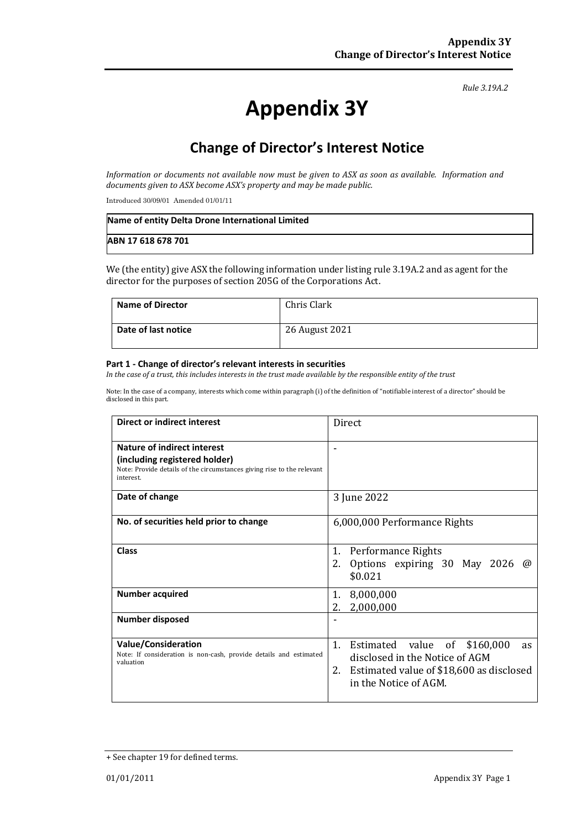#### *Rule 3.19A.2*

# **Appendix 3Y**

# **Change of Director's Interest Notice**

*Information or documents not available now must be given to ASX as soon as available. Information and documents given to ASX become ASX's property and may be made public.*

Introduced 30/09/01 Amended 01/01/11

| Name of entity Delta Drone International Limited |  |
|--------------------------------------------------|--|
| ABN 17 618 678 701                               |  |

We (the entity) give ASX the following information under listing rule 3.19A.2 and as agent for the director for the purposes of section 205G of the Corporations Act.

| <b>Name of Director</b> | Chris Clark    |
|-------------------------|----------------|
| Date of last notice     | 26 August 2021 |

#### **Part 1 - Change of director's relevant interests in securities**

*In the case of a trust, this includes interests in the trust made available by the responsible entity of the trust*

Note: In the case of a company, interests which come within paragraph (i) of the definition of "notifiable interest of a director" should be disclosed in this part.

| Direct or indirect interest                                                                                                                                | Direct                                                                                                                                                             |  |
|------------------------------------------------------------------------------------------------------------------------------------------------------------|--------------------------------------------------------------------------------------------------------------------------------------------------------------------|--|
| <b>Nature of indirect interest</b><br>(including registered holder)<br>Note: Provide details of the circumstances giving rise to the relevant<br>interest. |                                                                                                                                                                    |  |
| Date of change                                                                                                                                             | 3 June 2022                                                                                                                                                        |  |
| No. of securities held prior to change                                                                                                                     | 6,000,000 Performance Rights                                                                                                                                       |  |
| <b>Class</b>                                                                                                                                               | 1.<br>Performance Rights<br>2.<br>Options expiring 30 May 2026 $\omega$<br>\$0.021                                                                                 |  |
| <b>Number acquired</b>                                                                                                                                     | 8,000,000<br>1.<br>2.<br>2,000,000                                                                                                                                 |  |
| Number disposed                                                                                                                                            |                                                                                                                                                                    |  |
| <b>Value/Consideration</b><br>Note: If consideration is non-cash, provide details and estimated<br>valuation                                               | 1.<br>Estimated value<br>0f<br>\$160,000<br><b>as</b><br>disclosed in the Notice of AGM<br>Estimated value of \$18,600 as disclosed<br>2.<br>in the Notice of AGM. |  |

<sup>+</sup> See chapter 19 for defined terms.